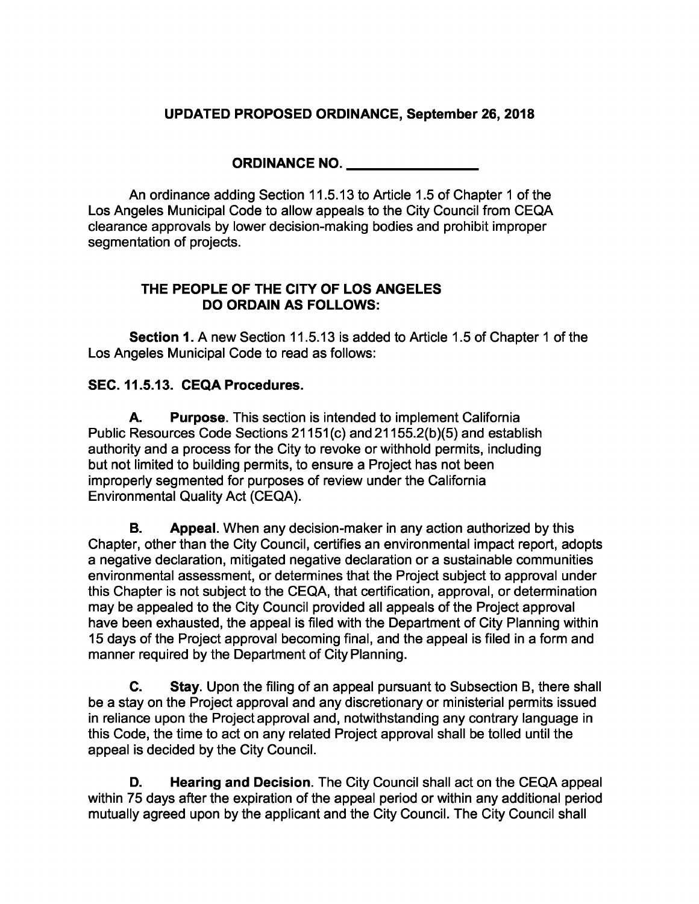## **UPDATED PROPOSED ORDINANCE, September 26, 2018**

**ORDINANCE NO.**

An ordinance adding Section 11.5.13 to Article 1.5 of Chapter <sup>1</sup> of the Los Angeles Municipal Code to allow appeals to the City Council from CEQA clearance approvals by lower decision-making bodies and prohibit improper segmentation of projects.

## **THE PEOPLE OF THE CITY OF LOS ANGELES DO ORDAIN AS FOLLOWS:**

**Section 1**. A new Section 11.5.13 is added to Article 1.5 of Chapter <sup>1</sup> of the Los Angeles Municipal Code to read as follows:

## **SEC. 11.5.13. CEQA Procedures.**

**Purpose.** This section is intended to implement California Public Resources Code Sections 21151(c) and 21155.2(b)(5) and establish authority and a process for the City to revoke or withhold permits, including but not limited to building permits, to ensure a Project has not been improperly segmented for purposes of review under the California Environmental Quality Act (CEQA). **A.**

**Appeal.** When any decision-maker in any action authorized by this Chapter, other than the City Council, certifies an environmental impact report, adopts a negative declaration, mitigated negative declaration or a sustainable communities environmental assessment, or determines that the Project subject to approval under this Chapter is not subject to the CEQA, that certification, approval, or determination may be appealed to the City Council provided all appeals of the Project approval have been exhausted, the appeal is filed with the Department of City Planning within 15 days of the Project approval becoming final, and the appeal is filed in a form and manner required by the Department of City Planning. **B.**

**Stay.** Upon the filing of an appeal pursuant to Subsection B, there shall be a stay on the Project approval and any discretionary or ministerial permits issued in reliance upon the Project approval and, notwithstanding any contrary language in this Code, the time to act on any related Project approval shall be tolled until the appeal is decided by the City Council. **C.**

**Hearing and Decision.** The City Council shall act on the CEQA appeal within 75 days after the expiration of the appeal period or within any additional period mutually agreed upon by the applicant and the City Council. The City Council shall **D.**